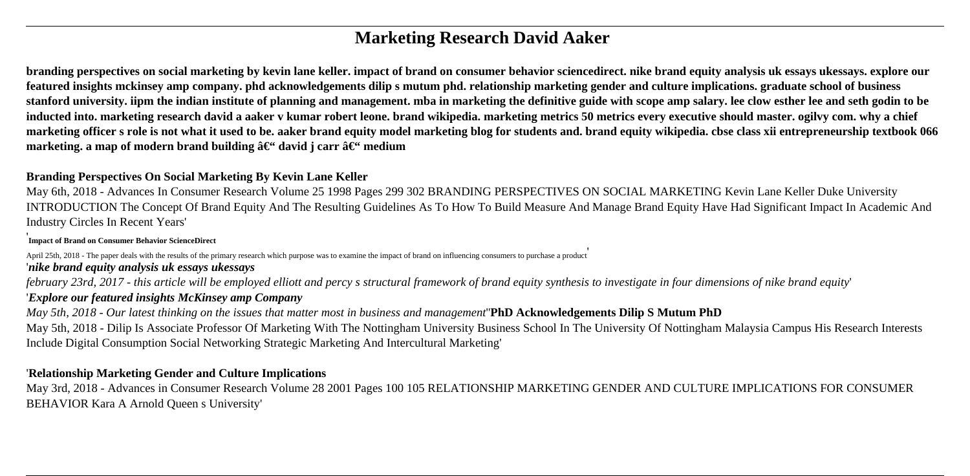# **Marketing Research David Aaker**

**branding perspectives on social marketing by kevin lane keller. impact of brand on consumer behavior sciencedirect. nike brand equity analysis uk essays ukessays. explore our featured insights mckinsey amp company. phd acknowledgements dilip s mutum phd. relationship marketing gender and culture implications. graduate school of business stanford university. iipm the indian institute of planning and management. mba in marketing the definitive guide with scope amp salary. lee clow esther lee and seth godin to be inducted into. marketing research david a aaker v kumar robert leone. brand wikipedia. marketing metrics 50 metrics every executive should master. ogilvy com. why a chief marketing officer s role is not what it used to be. aaker brand equity model marketing blog for students and. brand equity wikipedia. cbse class xii entrepreneurship textbook 066 marketing. a map of modern brand building**  $\hat{a}\in\hat{\mathcal{F}}$  **david j carr**  $\hat{a}\in\hat{\mathcal{F}}$  **medium** 

### **Branding Perspectives On Social Marketing By Kevin Lane Keller**

May 6th, 2018 - Advances In Consumer Research Volume 25 1998 Pages 299 302 BRANDING PERSPECTIVES ON SOCIAL MARKETING Kevin Lane Keller Duke University INTRODUCTION The Concept Of Brand Equity And The Resulting Guidelines As To How To Build Measure And Manage Brand Equity Have Had Significant Impact In Academic And Industry Circles In Recent Years'

' **Impact of Brand on Consumer Behavior ScienceDirect**

April 25th, 2018 - The paper deals with the results of the primary research which purpose was to examine the impact of brand on influencing consumers to purchase a product '*nike brand equity analysis uk essays ukessays*

*february 23rd, 2017 - this article will be employed elliott and percy s structural framework of brand equity synthesis to investigate in four dimensions of nike brand equity*'

## '*Explore our featured insights McKinsey amp Company*

*May 5th, 2018 - Our latest thinking on the issues that matter most in business and management*''**PhD Acknowledgements Dilip S Mutum PhD**

May 5th, 2018 - Dilip Is Associate Professor Of Marketing With The Nottingham University Business School In The University Of Nottingham Malaysia Campus His Research Interests Include Digital Consumption Social Networking Strategic Marketing And Intercultural Marketing'

#### '**Relationship Marketing Gender and Culture Implications**

May 3rd, 2018 - Advances in Consumer Research Volume 28 2001 Pages 100 105 RELATIONSHIP MARKETING GENDER AND CULTURE IMPLICATIONS FOR CONSUMER BEHAVIOR Kara A Arnold Queen s University'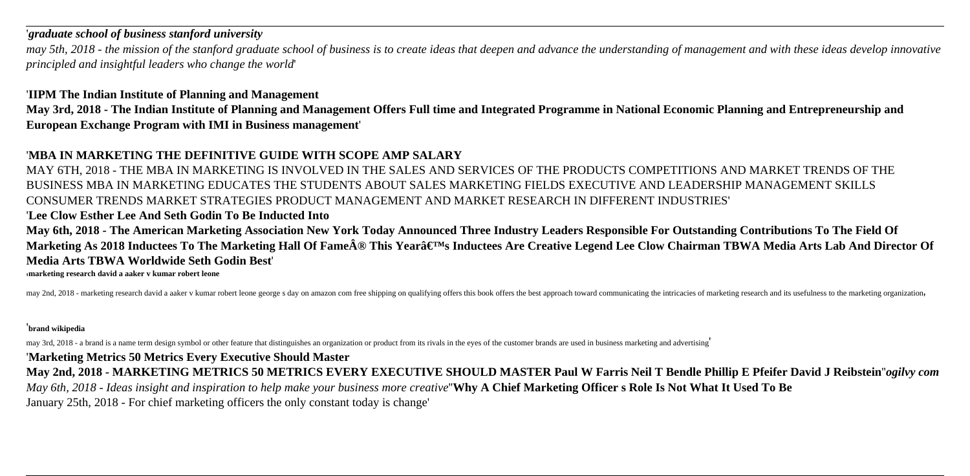#### '*graduate school of business stanford university*

*may 5th, 2018 - the mission of the stanford graduate school of business is to create ideas that deepen and advance the understanding of management and with these ideas develop innovative principled and insightful leaders who change the world*'

### '**IIPM The Indian Institute of Planning and Management**

**May 3rd, 2018 - The Indian Institute of Planning and Management Offers Full time and Integrated Programme in National Economic Planning and Entrepreneurship and European Exchange Program with IMI in Business management**'

# '**MBA IN MARKETING THE DEFINITIVE GUIDE WITH SCOPE AMP SALARY**

MAY 6TH, 2018 - THE MBA IN MARKETING IS INVOLVED IN THE SALES AND SERVICES OF THE PRODUCTS COMPETITIONS AND MARKET TRENDS OF THE BUSINESS MBA IN MARKETING EDUCATES THE STUDENTS ABOUT SALES MARKETING FIELDS EXECUTIVE AND LEADERSHIP MANAGEMENT SKILLS CONSUMER TRENDS MARKET STRATEGIES PRODUCT MANAGEMENT AND MARKET RESEARCH IN DIFFERENT INDUSTRIES'

### '**Lee Clow Esther Lee And Seth Godin To Be Inducted Into**

**May 6th, 2018 - The American Marketing Association New York Today Announced Three Industry Leaders Responsible For Outstanding Contributions To The Field Of** Marketing As 2018 Inductees To The Marketing Hall Of Fame® This Yearâ€<sup>™</sup>s Inductees Are Creative Legend Lee Clow Chairman TBWA Media Arts Lab And Director Of **Media Arts TBWA Worldwide Seth Godin Best**'

'**marketing research david a aaker v kumar robert leone**

may 2nd, 2018 - marketing research david a aaker v kumar robert leone george s day on amazon com free shipping on qualifying offers this book offers the best approach toward communicating the intricacies of marketing resea

#### '**brand wikipedia**

may 3rd, 2018 - a brand is a name term design symbol or other feature that distinguishes an organization or product from its rivals in the eyes of the customer brands are used in business marketing and advertising'

# '**Marketing Metrics 50 Metrics Every Executive Should Master**

**May 2nd, 2018 - MARKETING METRICS 50 METRICS EVERY EXECUTIVE SHOULD MASTER Paul W Farris Neil T Bendle Phillip E Pfeifer David J Reibstein**''*ogilvy com*

*May 6th, 2018 - Ideas insight and inspiration to help make your business more creative*''**Why A Chief Marketing Officer s Role Is Not What It Used To Be**

January 25th, 2018 - For chief marketing officers the only constant today is change'